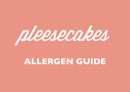

## ALLERGEN GUIDE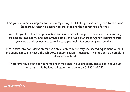This guide contains allergen information regarding the 14 allergens as recognised by the Food Standards Agency to ensure you are choosing the correct food for you.

We take great pride in the production and execution of our products as our team are fully trained on food allergy and intolerances set by the Food Standards Agency. Therefore take great care and seriousness to make sure you feel safe consuming our products.

Please take into consideration that as a small company, we may use shared equipment when in production, meaning that although cross contamination is managed, it cannot be to a complete allergen-free level.

If you have any other queries regarding ingredients in our products, please get in touch via email and info@pleesecakes.com or phone on 01737 210 250.

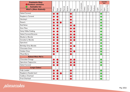| <b>Contents Key:</b>                           |       |      |      |         |        |      |     |      |             |        |                      |          |           | <b>Suitable</b><br>For: |        |             |
|------------------------------------------------|-------|------|------|---------|--------|------|-----|------|-------------|--------|----------------------|----------|-----------|-------------------------|--------|-------------|
| <b>Product contains</b><br><b>Suitable for</b> | Wheat |      |      | Peanuts | Sesame | Milk | Egg | Fish | Crustaceans | Celery | Sulphites<br>Mustard | Molluscs |           | Vegetarians             |        | Gluten Free |
| <b>Mini's (Non-Baked):</b>                     |       | Soya | Nuts |         |        |      |     |      |             |        |                      |          | ا ڇَ<br>ا |                         | Vegans |             |
| <b>Salted Caramel</b>                          |       |      |      |         |        |      |     |      |             |        |                      |          |           |                         |        |             |
| Raspberry Caramel                              |       |      |      |         |        |      |     |      |             |        |                      |          |           |                         |        |             |
| Hershey's                                      |       |      |      |         |        |      |     |      |             |        |                      |          |           |                         |        |             |
| Reese's                                        |       |      |      |         |        |      |     |      |             |        |                      |          |           |                         |        |             |
| <b>Red Velvet</b>                              |       |      |      |         |        |      |     |      |             |        |                      |          |           |                         |        |             |
| <b>Eton Mess</b>                               |       |      |      |         |        |      |     |      |             |        |                      |          |           |                         |        |             |
| <b>Sticky Toffee Pudding</b>                   |       |      |      |         |        |      |     |      |             |        |                      |          |           |                         |        |             |
| <b>Salted Caramel Brownie</b>                  |       |      |      |         |        |      |     |      |             |        |                      |          |           |                         |        |             |
| <b>Blueberry Blondie</b>                       |       |      |      |         |        |      |     |      |             |        |                      |          |           |                         |        |             |
| <b>Strawberry Blondie</b>                      |       |      |      |         |        |      |     |      |             |        |                      |          |           |                         |        |             |
| Speculoos                                      |       |      |      |         |        |      |     |      |             |        |                      |          |           |                         |        |             |
| <b>Birthday Oreo Blondie</b>                   |       |      |      |         |        |      |     |      |             |        |                      |          |           |                         |        |             |
| Chocolate Oreo                                 |       |      |      |         |        |      |     |      |             |        |                      |          |           |                         |        |             |
| Golden Oreo                                    |       |      |      |         |        |      |     |      |             |        |                      |          |           |                         |        |             |
| <b>Mixed Berry</b>                             |       |      |      |         |        |      |     |      |             |        |                      |          |           |                         |        |             |
| <b>Baked Mini-Me's:</b>                        |       |      |      |         |        |      |     |      |             |        |                      |          |           |                         |        |             |
| Chocolate Orange                               |       |      |      |         |        |      |     |      |             |        |                      |          |           |                         |        |             |
| Speculoos Cappuccino                           |       |      |      |         |        |      |     |      |             |        |                      |          |           |                         |        |             |
| <b>Salted Caramel</b>                          |       |      |      |         |        |      |     |      |             |        |                      |          |           |                         |        |             |
| <b>Large Cakes:</b>                            |       |      |      |         |        |      |     |      |             |        |                      |          |           |                         |        |             |
| <b>Fully Loaded</b>                            |       |      |      |         |        |      |     |      |             |        |                      |          |           |                         |        |             |
| Raspberry Nutella Swirl                        |       |      |      |         |        |      |     |      |             |        |                      |          |           |                         |        |             |
| Cadbury Overload                               |       |      |      |         |        |      |     |      |             |        |                      |          |           |                         |        |             |
| Fruit Overload                                 |       |      |      |         |        |      |     |      |             |        |                      |          |           |                         |        |             |

pleesecakes